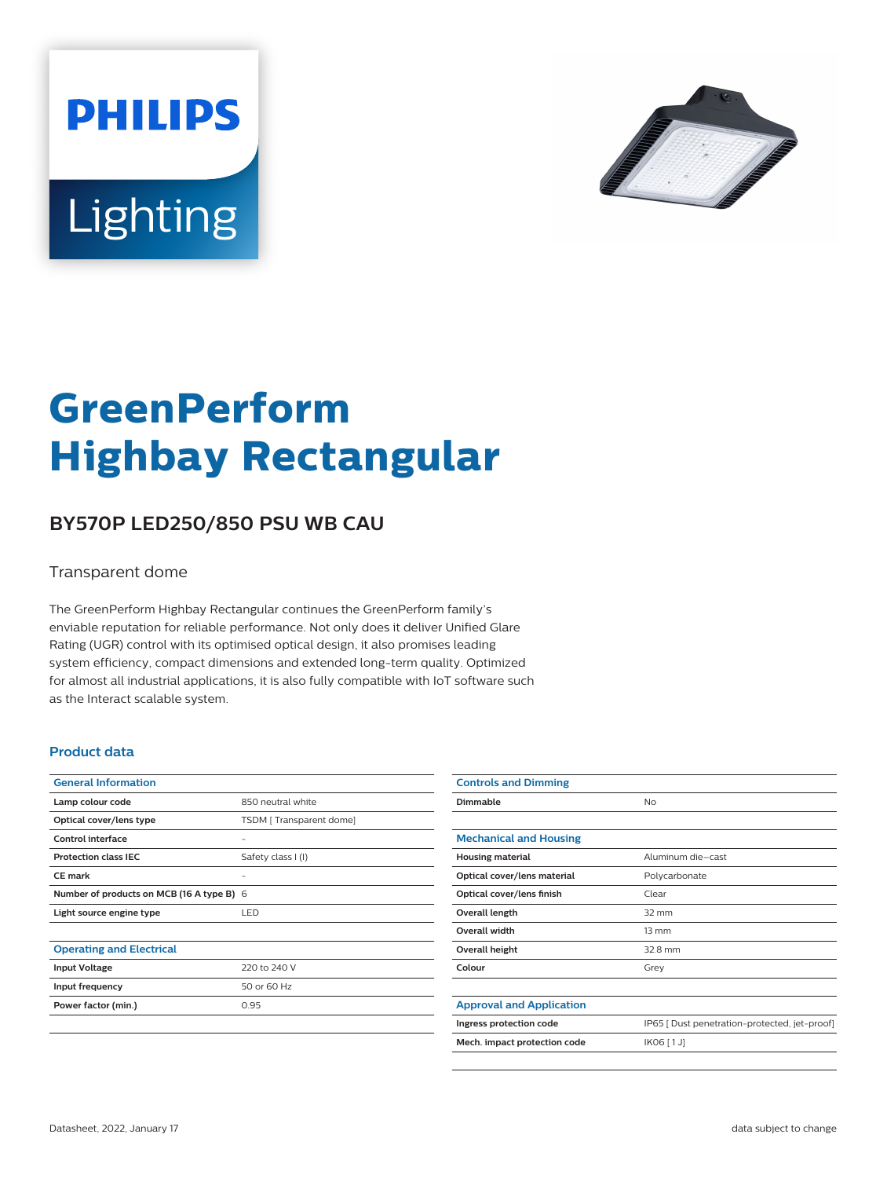



# **GreenPerform Highbay Rectangular**

## **BY570P LED250/850 PSU WB CAU**

#### Transparent dome

The GreenPerform Highbay Rectangular continues the GreenPerform family's enviable reputation for reliable performance. Not only does it deliver Unified Glare Rating (UGR) control with its optimised optical design, it also promises leading system efficiency, compact dimensions and extended long-term quality. Optimized for almost all industrial applications, it is also fully compatible with IoT software such as the Interact scalable system.

#### **Product data**

| <b>General Information</b>                |                         |
|-------------------------------------------|-------------------------|
| Lamp colour code                          | 850 neutral white       |
| Optical cover/lens type                   | TSDM [Transparent dome] |
| Control interface                         |                         |
| <b>Protection class IEC</b>               | Safety class I (I)      |
| <b>CE</b> mark                            |                         |
| Number of products on MCB (16 A type B) 6 |                         |
| Light source engine type                  | LED                     |
|                                           |                         |
| <b>Operating and Electrical</b>           |                         |
| <b>Input Voltage</b>                      | 220 to 240 V            |
| Input frequency                           | 50 or 60 Hz             |
| Power factor (min.)                       | 0.95                    |
|                                           |                         |

| <b>Controls and Dimming</b>     |                                               |
|---------------------------------|-----------------------------------------------|
| Dimmable                        | No                                            |
|                                 |                                               |
| <b>Mechanical and Housing</b>   |                                               |
| <b>Housing material</b>         | Aluminum die-cast                             |
| Optical cover/lens material     | Polycarbonate                                 |
| Optical cover/lens finish       | Clear                                         |
| Overall length                  | $32 \text{ mm}$                               |
| Overall width                   | $13 \, \text{mm}$                             |
| Overall height                  | 32.8 mm                                       |
| Colour                          | Grey                                          |
|                                 |                                               |
| <b>Approval and Application</b> |                                               |
| Ingress protection code         | IP65 [ Dust penetration-protected, jet-proof] |
| Mech. impact protection code    | IK06 [1J]                                     |
|                                 |                                               |